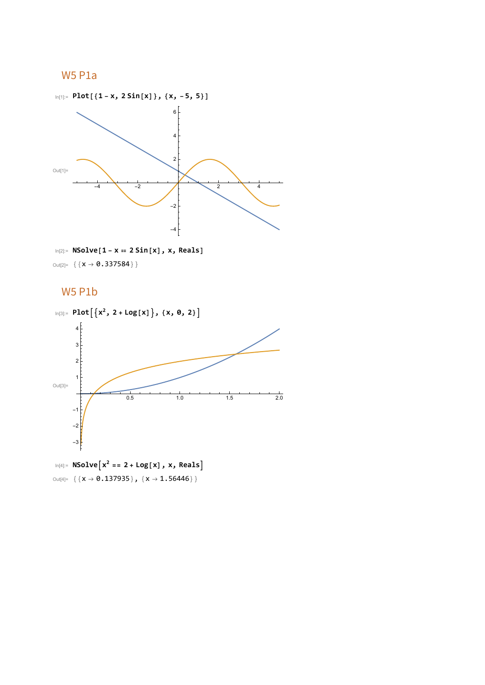# W5 P1a



In[2]:= **NSolve[1 - x ⩵ 2 Sin[x], x, Reals]** Out[2]=  $\{ \{ x \rightarrow 0.337584 \} \}$ 

# W5 P1b

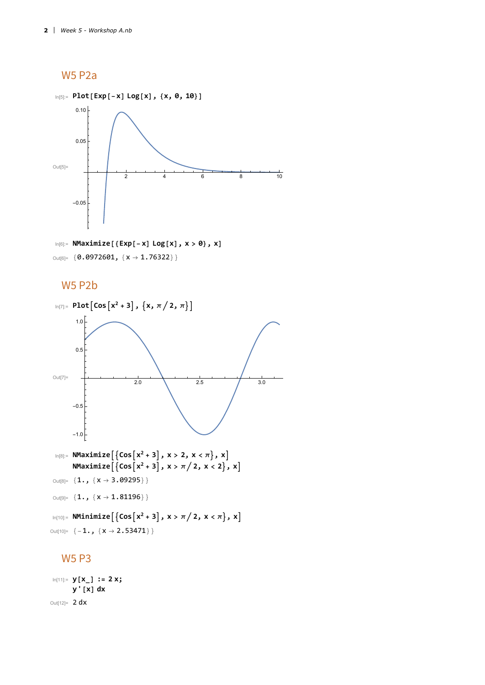W5 P2a



In[6]:= **NMaximize[{Exp[-x] Log[x], x > 0}, x]** Out[6]= { $0.0972601$ , { $x \rightarrow 1.76322$ }}

## W5 P2b



# W5 P3

```
In[11]:= y[x_] := 2 x;
      y'[x] dx
Out[12]= 2 dx
```